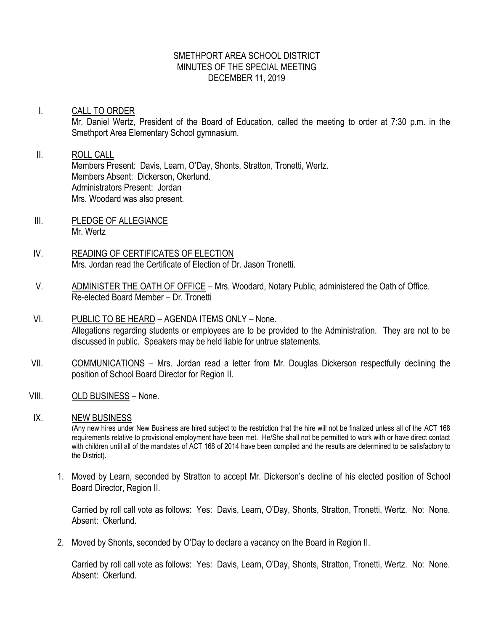#### SMETHPORT AREA SCHOOL DISTRICT MINUTES OF THE SPECIAL MEETING DECEMBER 11, 2019

# I. CALL TO ORDER Mr. Daniel Wertz, President of the Board of Education, called the meeting to order at 7:30 p.m. in the Smethport Area Elementary School gymnasium.

#### II. ROLL CALL Members Present: Davis, Learn, O'Day, Shonts, Stratton, Tronetti, Wertz. Members Absent: Dickerson, Okerlund. Administrators Present: Jordan Mrs. Woodard was also present.

- III. PLEDGE OF ALLEGIANCE Mr. Wertz
- IV. READING OF CERTIFICATES OF ELECTION Mrs. Jordan read the Certificate of Election of Dr. Jason Tronetti.
- V. ADMINISTER THE OATH OF OFFICE Mrs. Woodard, Notary Public, administered the Oath of Office. Re-elected Board Member – Dr. Tronetti
- VI. PUBLIC TO BE HEARD AGENDA ITEMS ONLY None. Allegations regarding students or employees are to be provided to the Administration. They are not to be discussed in public. Speakers may be held liable for untrue statements.
- VII. COMMUNICATIONS Mrs. Jordan read a letter from Mr. Douglas Dickerson respectfully declining the position of School Board Director for Region II.
- VIII. OLD BUSINESS None.

### IX. NEW BUSINESS

(Any new hires under New Business are hired subject to the restriction that the hire will not be finalized unless all of the ACT 168 requirements relative to provisional employment have been met. He/She shall not be permitted to work with or have direct contact with children until all of the mandates of ACT 168 of 2014 have been compiled and the results are determined to be satisfactory to the District).

1. Moved by Learn, seconded by Stratton to accept Mr. Dickerson's decline of his elected position of School Board Director, Region II.

Carried by roll call vote as follows: Yes: Davis, Learn, O'Day, Shonts, Stratton, Tronetti, Wertz. No: None. Absent: Okerlund.

2. Moved by Shonts, seconded by O'Day to declare a vacancy on the Board in Region II.

Carried by roll call vote as follows: Yes: Davis, Learn, O'Day, Shonts, Stratton, Tronetti, Wertz. No: None. Absent: Okerlund.